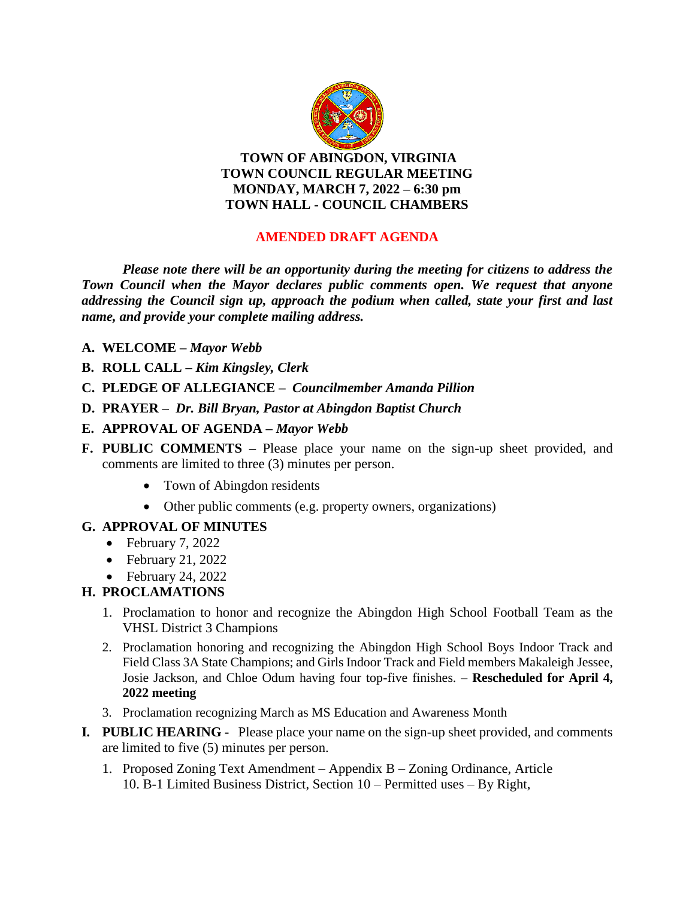

**TOWN OF ABINGDON, VIRGINIA TOWN COUNCIL REGULAR MEETING MONDAY, MARCH 7, 2022 – 6:30 pm TOWN HALL - COUNCIL CHAMBERS**

# **AMENDED DRAFT AGENDA**

*Please note there will be an opportunity during the meeting for citizens to address the Town Council when the Mayor declares public comments open. We request that anyone addressing the Council sign up, approach the podium when called, state your first and last name, and provide your complete mailing address.*

- **A. WELCOME –** *Mayor Webb*
- **B. ROLL CALL –** *Kim Kingsley, Clerk*
- **C. PLEDGE OF ALLEGIANCE –** *Councilmember Amanda Pillion*
- **D. PRAYER** *Dr. Bill Bryan, Pastor at Abingdon Baptist Church*
- **E. APPROVAL OF AGENDA –** *Mayor Webb*
- **F. PUBLIC COMMENTS –** Please place your name on the sign-up sheet provided, and comments are limited to three (3) minutes per person.
	- Town of Abingdon residents
	- Other public comments (e.g. property owners, organizations)

## **G. APPROVAL OF MINUTES**

- $\bullet$  February 7, 2022
- $\bullet$  February 21, 2022
- $\bullet$  February 24, 2022

# **H. PROCLAMATIONS**

- 1. Proclamation to honor and recognize the Abingdon High School Football Team as the VHSL District 3 Champions
- 2. Proclamation honoring and recognizing the Abingdon High School Boys Indoor Track and Field Class 3A State Champions; and Girls Indoor Track and Field members Makaleigh Jessee, Josie Jackson, and Chloe Odum having four top-five finishes. – **Rescheduled for April 4, 2022 meeting**
- 3. Proclamation recognizing March as MS Education and Awareness Month
- **I***.* **PUBLIC HEARING** Please place your name on the sign-up sheet provided, and comments are limited to five (5) minutes per person.
	- 1. Proposed Zoning Text Amendment Appendix B Zoning Ordinance, Article 10. B-1 Limited Business District, Section 10 – Permitted uses – By Right,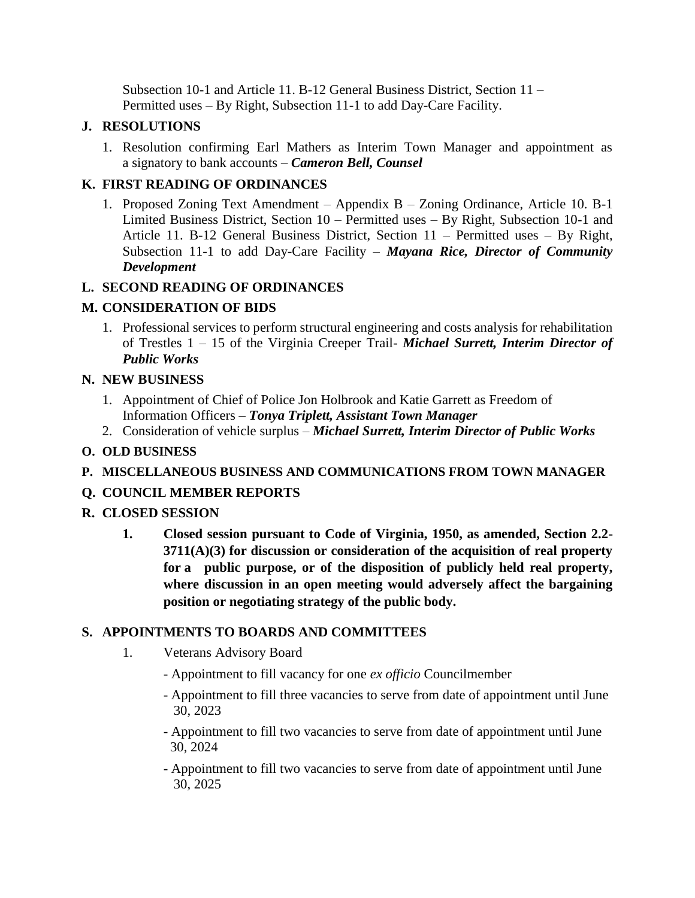Subsection 10-1 and Article 11. B-12 General Business District, Section 11 – Permitted uses – By Right, Subsection 11-1 to add Day-Care Facility.

#### **J. RESOLUTIONS**

1. Resolution confirming Earl Mathers as Interim Town Manager and appointment as a signatory to bank accounts – *Cameron Bell, Counsel*

## **K. FIRST READING OF ORDINANCES**

1. Proposed Zoning Text Amendment – Appendix B – Zoning Ordinance, Article 10. B-1 Limited Business District, Section 10 – Permitted uses – By Right, Subsection 10-1 and Article 11. B-12 General Business District, Section 11 – Permitted uses – By Right, Subsection 11-1 to add Day-Care Facility – *Mayana Rice, Director of Community Development*

### **L. SECOND READING OF ORDINANCES**

## **M. CONSIDERATION OF BIDS**

1. Professional services to perform structural engineering and costs analysis for rehabilitation of Trestles 1 – 15 of the Virginia Creeper Trail- *Michael Surrett, Interim Director of Public Works*

### **N. NEW BUSINESS**

- 1. Appointment of Chief of Police Jon Holbrook and Katie Garrett as Freedom of Information Officers – *Tonya Triplett, Assistant Town Manager*
- 2. Consideration of vehicle surplus *Michael Surrett, Interim Director of Public Works*

### **O. OLD BUSINESS**

**P. MISCELLANEOUS BUSINESS AND COMMUNICATIONS FROM TOWN MANAGER**

## **Q. COUNCIL MEMBER REPORTS**

## **R. CLOSED SESSION**

**1. Closed session pursuant to Code of Virginia, 1950, as amended, Section 2.2- 3711(A)(3) for discussion or consideration of the acquisition of real property for a public purpose, or of the disposition of publicly held real property, where discussion in an open meeting would adversely affect the bargaining position or negotiating strategy of the public body.**

#### **S. APPOINTMENTS TO BOARDS AND COMMITTEES**

- 1. Veterans Advisory Board
	- Appointment to fill vacancy for one *ex officio* Councilmember
	- Appointment to fill three vacancies to serve from date of appointment until June 30, 2023
	- Appointment to fill two vacancies to serve from date of appointment until June 30, 2024
	- Appointment to fill two vacancies to serve from date of appointment until June 30, 2025